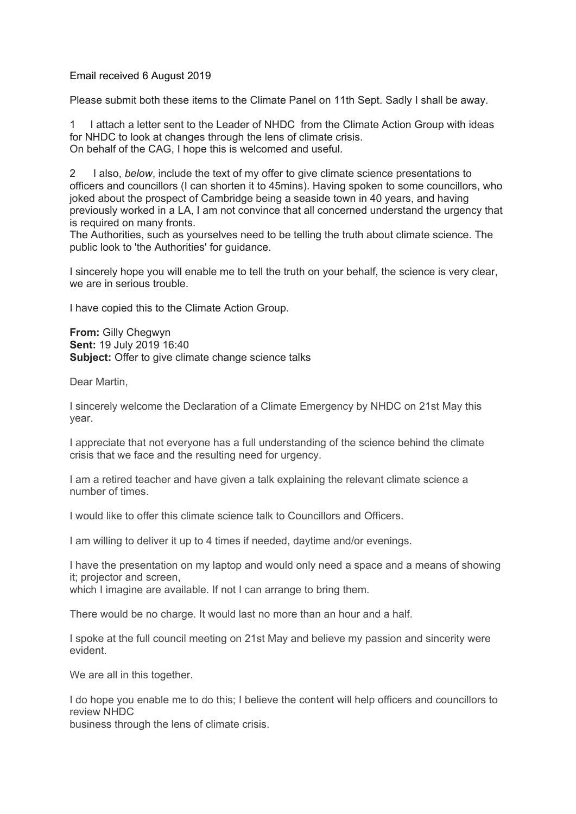Email received 6 August 2019

Please submit both these items to the Climate Panel on 11th Sept. Sadly I shall be away.

1 I attach a letter sent to the Leader of NHDC from the Climate Action Group with ideas for NHDC to look at changes through the lens of climate crisis. On behalf of the CAG, I hope this is welcomed and useful.

2 I also, *below*, include the text of my offer to give climate science presentations to officers and councillors (I can shorten it to 45mins). Having spoken to some councillors, who joked about the prospect of Cambridge being a seaside town in 40 years, and having previously worked in a LA, I am not convince that all concerned understand the urgency that is required on many fronts.

The Authorities, such as yourselves need to be telling the truth about climate science. The public look to 'the Authorities' for guidance.

I sincerely hope you will enable me to tell the truth on your behalf, the science is very clear, we are in serious trouble.

I have copied this to the Climate Action Group.

**From:** Gilly Chegwyn **Sent:** 19 July 2019 16:40 **Subject:** Offer to give climate change science talks

Dear Martin,

I sincerely welcome the Declaration of a Climate Emergency by NHDC on 21st May this year.

I appreciate that not everyone has a full understanding of the science behind the climate crisis that we face and the resulting need for urgency.

I am a retired teacher and have given a talk explaining the relevant climate science a number of times.

I would like to offer this climate science talk to Councillors and Officers.

I am willing to deliver it up to 4 times if needed, daytime and/or evenings.

I have the presentation on my laptop and would only need a space and a means of showing it; projector and screen,

which I imagine are available. If not I can arrange to bring them.

There would be no charge. It would last no more than an hour and a half.

I spoke at the full council meeting on 21st May and believe my passion and sincerity were evident.

We are all in this together.

I do hope you enable me to do this; I believe the content will help officers and councillors to review NHDC

business through the lens of climate crisis.